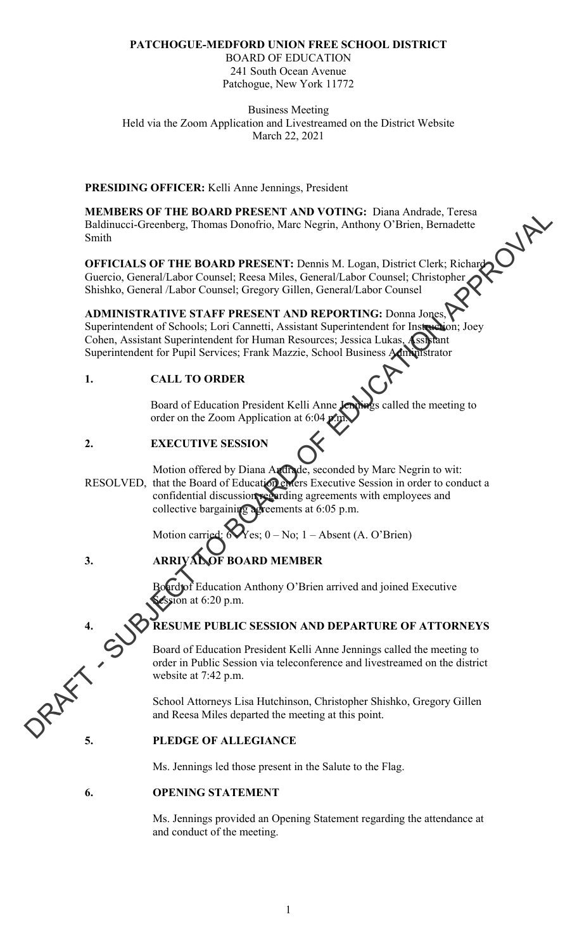## **PATCHOGUE-MEDFORD UNION FREE SCHOOL DISTRICT**

BOARD OF EDUCATION 241 South Ocean Avenue Patchogue, New York 11772

Business Meeting Held via the Zoom Application and Livestreamed on the District Website March 22, 2021

## **PRESIDING OFFICER:** Kelli Anne Jennings, President

**MEMBERS OF THE BOARD PRESENT AND VOTING:** Diana Andrade, Teresa Baldinucci-Greenberg, Thomas Donofrio, Marc Negrin, Anthony O'Brien, Bernadette Smith

**OFFICIALS OF THE BOARD PRESENT:** Dennis M. Logan, District Clerk; Richard Guercio, General/Labor Counsel; Reesa Miles, General/Labor Counsel; Christopher Shishko, General /Labor Counsel; Gregory Gillen, General/Labor Counsel

## **ADMINISTRATIVE STAFF PRESENT AND REPORTING:** Donna Jones,

Superintendent of Schools; Lori Cannetti, Assistant Superintendent for Instruction; Joey Cohen, Assistant Superintendent for Human Resources; Jessica Lukas, Assistant Superintendent for Pupil Services; Frank Mazzie, School Business Administrator

## **1. CALL TO ORDER**

Board of Education President Kelli Anne Jennings called the meeting to order on the Zoom Application at 6:04 p.m.

## **2. EXECUTIVE SESSION**

Motion offered by Diana Andrade, seconded by Marc Negrin to wit: RESOLVED, that the Board of Education enters Executive Session in order to conduct a confidential discussion regarding agreements with employees and collective bargaining agreements at 6:05 p.m. MAMINE OF PIRE ROADER MATERIX VITATION COTTING: Dama Readman, Interest<br>
Buildimeter-Greenberg, Thomas Denofito, Mary Negrin, Anthony O'Brien, Bernardtie<br>
Smith<br>
OFFICIATS OF THE ROARD PRESENT: Dennis M. Logan, District Cl

Motion carried:  $\mathbf{\hat{y}}$  es:  $0 - \text{No}$ :  $1 - \text{Absent}$  (A. O'Brien)

## **3. ARRIVAL OF BOARD MEMBER**

ard of Education Anthony O'Brien arrived and joined Executive ion at  $6:20$  p.m.

## **4. RESUME PUBLIC SESSION AND DEPARTURE OF ATTORNEYS**

Board of Education President Kelli Anne Jennings called the meeting to order in Public Session via teleconference and livestreamed on the district website at 7:42 p.m. Solution Contract K<br>
School Attorneys Lisa Hutchins<br>
5. PLEDGE OF ALLEGIANCE

School Attorneys Lisa Hutchinson, Christopher Shishko, Gregory Gillen and Reesa Miles departed the meeting at this point.

Ms. Jennings led those present in the Salute to the Flag.

### **6. OPENING STATEMENT**

Ms. Jennings provided an Opening Statement regarding the attendance at and conduct of the meeting.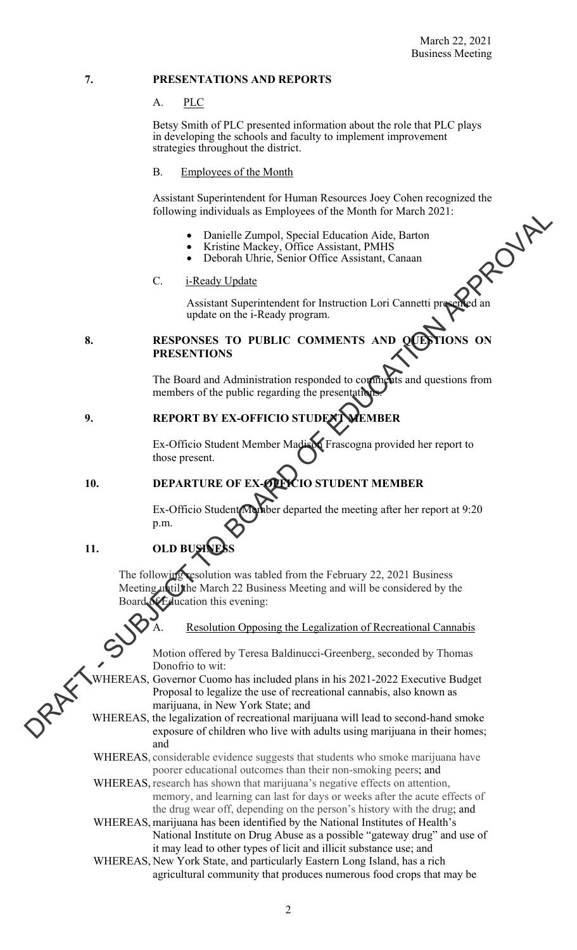#### **7. PRESENTATIONS AND REPORTS**

#### A. PLC

Betsy Smith of PLC presented information about the role that PLC plays in developing the schools and faculty to implement improvement strategies throughout the district.

## B. Employees of the Month

Assistant Superintendent for Human Resources Joey Cohen recognized the following individuals as Employees of the Month for March 2021:

- Danielle Zumpol, Special Education Aide, Barton
- Kristine Mackey, Office Assistant, PMHS
- Deborah Uhrie, Senior Office Assistant, Canaan

### C. **i-Ready Update**

Assistant Superintendent for Instruction Lori Cannetti pr update on the i-Ready program.

## **8. RESPONSES TO PUBLIC COMMENTS PRESENTIONS**

The Board and Administration responded to comments and questions from members of the public regarding the presentation

## **9. REPORT BY EX-OFFICIO STUD**

 Ex-Officio Student Member Madison Frascogna provided her report to those present.

## **10. DEPARTURE OF EX-OFFICIO STUDENT MEMBER**

Ex-Officio Student Member departed the meeting after her report at 9:20 p.m.

## **11. OLD BI**

The following resolution was tabled from the February 22, 2021 Business Meeting until the March 22 Business Meeting and will be considered by the Jucation this evening:

Resolution Opposing the Legalization of Recreational Cannabis

Motion offered by Teresa Baldinucci-Greenberg, seconded by Thomas Donofrio to wit:

- WHEREAS, Governor Cuomo has included plans in his 2021-2022 Executive Budget Proposal to legalize the use of recreational cannabis, also known as marijuana, in New York State; and Dutowing interviewed Schemes Section (Material Schemes ASS)<br>
The Darielle Zampal, Special United in Addition Additional Community<br>
C. E-Result Undiate<br>
A Designated Schemes Center Office Assistant, Canadam<br>
C. E-Result Un
	- WHEREAS, the legalization of recreational marijuana will lead to second-hand smoke exposure of children who live with adults using marijuana in their homes; and

WHEREAS, considerable evidence suggests that students who smoke marijuana have poorer educational outcomes than their non-smoking peers; and

- WHEREAS, research has shown that marijuana's negative effects on attention, memory, and learning can last for days or weeks after the acute effects of the drug wear off, depending on the person's history with the drug; and
- WHEREAS, marijuana has been identified by the National Institutes of Health's National Institute on Drug Abuse as a possible "gateway drug" and use of it may lead to other types of licit and illicit substance use; and
- WHEREAS, New York State, and particularly Eastern Long Island, has a rich agricultural community that produces numerous food crops that may be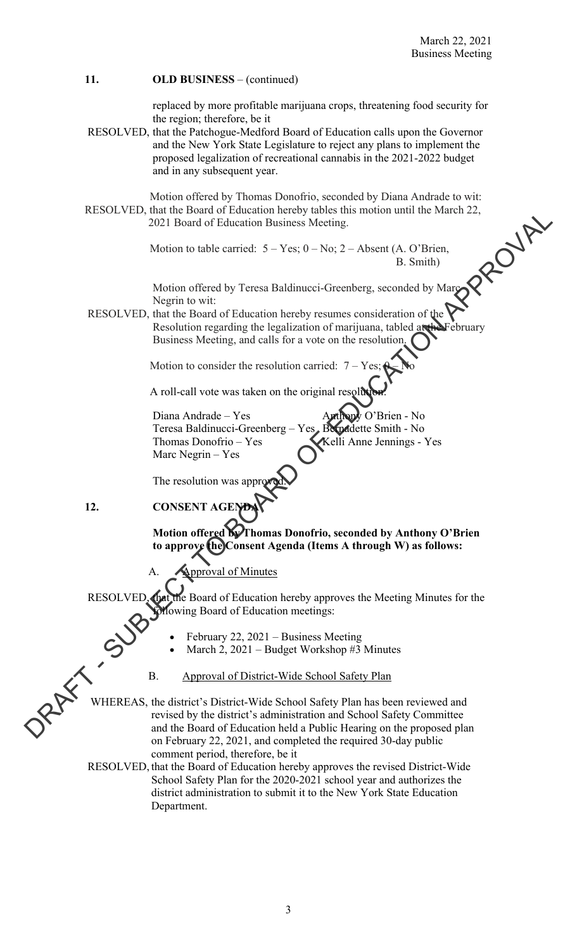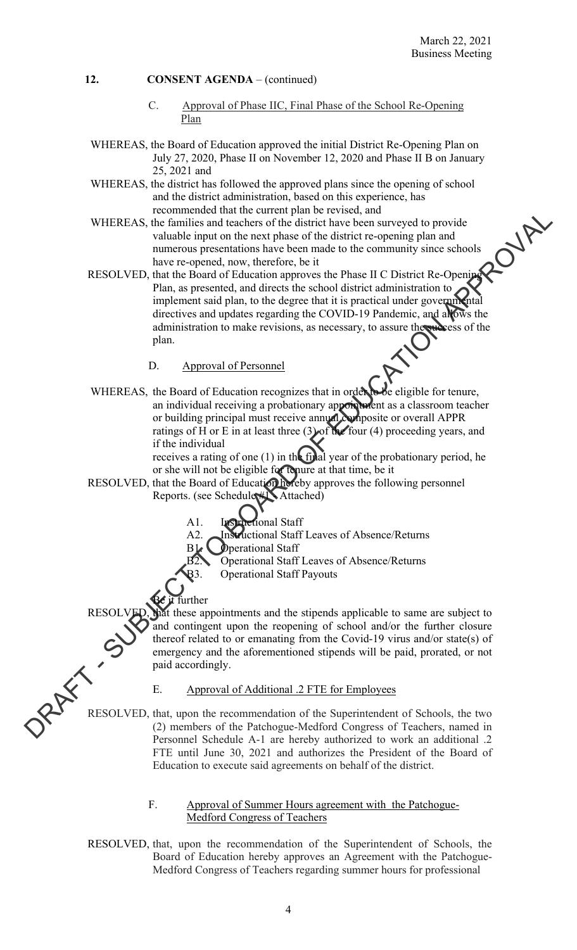- C. Approval of Phase IIC, Final Phase of the School Re-Opening Plan
- WHEREAS, the Board of Education approved the initial District Re-Opening Plan on July 27, 2020, Phase II on November 12, 2020 and Phase II B on January 25, 2021 and
- WHEREAS, the district has followed the approved plans since the opening of school and the district administration, based on this experience, has recommended that the current plan be revised, and
- WHEREAS, the families and teachers of the district have been surveyed to provide valuable input on the next phase of the district re-opening plan and numerous presentations have been made to the community since schools have re-opened, now, therefore, be it
- RESOLVED, that the Board of Education approves the Phase II C District Re-Opening Plan, as presented, and directs the school district administration to implement said plan, to the degree that it is practical under governmental directives and updates regarding the COVID-19 Pandemic, and allows the administration to make revisions, as necessary, to assure the success of the plan. WHEREAS, the Board of Pearlamentarian and the state of the state of the properties of the state of the state of the state of the state of the state of the state of the state of the state of the state of the state of the s
	- D. Approval of Personnel
	- WHEREAS, the Board of Education recognizes that in order to be eligible for tenure, an individual receiving a probationary appointment as a classroom teacher or building principal must receive annual composite or overall APPR ratings of H or E in at least three  $(3)$  of the four  $(4)$  proceeding years, and if the individual

receives a rating of one (1) in the final year of the probationary period, he or she will not be eligible for tenure at that time, be it

- RESOLVED, that the Board of Education hereby approves the following personnel Reports. (see Schedule #1 - Attached)
	- A1. Instructional Staff
	- A2. Instructional Staff Leaves of Absence/Returns
	- B1. Operational Staff
	- B2. Operational Staff Leaves of Absence/Returns

B3. Operational Staff Payouts

urther It these appointments and the stipends applicable to same are subject to and contingent upon the reopening of school and/or the further closure thereof related to or emanating from the Covid-19 virus and/or state(s) of emergency and the aforementioned stipends will be paid, prorated, or not paid accordingly.

E. Approval of Additional .2 FTE for Employees

Approval of Additional .2 FTE for Employees<br>RESOLVED, that, upon the recommendation of the Superintendent of Schools, the two<br>(2) members of the Patchooue-Medford Concrete of T (2) members of the Patchogue-Medford Congress of Teachers, named in Personnel Schedule A-1 are hereby authorized to work an additional .2 FTE until June 30, 2021 and authorizes the President of the Board of Education to execute said agreements on behalf of the district.

#### F. Approval of Summer Hours agreement with the Patchogue-Medford Congress of Teachers

RESOLVED, that, upon the recommendation of the Superintendent of Schools, the Board of Education hereby approves an Agreement with the Patchogue-Medford Congress of Teachers regarding summer hours for professional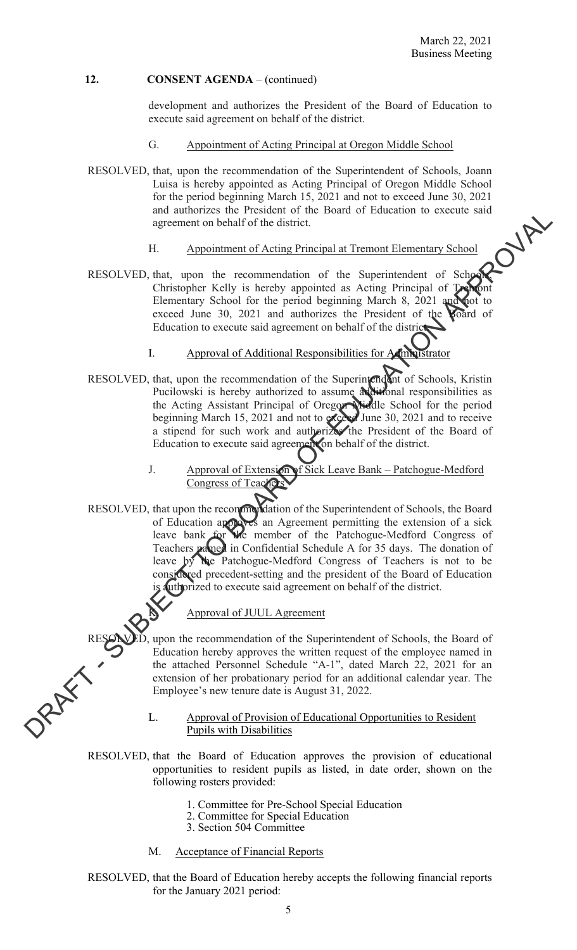development and authorizes the President of the Board of Education to execute said agreement on behalf of the district.

- G. Appointment of Acting Principal at Oregon Middle School
- RESOLVED, that, upon the recommendation of the Superintendent of Schools, Joann Luisa is hereby appointed as Acting Principal of Oregon Middle School for the period beginning March 15, 2021 and not to exceed June 30, 2021 and authorizes the President of the Board of Education to execute said<br>agreement on behalf of the district.<br>H. Appointment of Acting Principal at Tremont Flament agreement on behalf of the district.
	- H. Appointment of Acting Principal at Tremont Elementary School
- RESOLVED, that, upon the recommendation of the Superintendent of Schools, Christopher Kelly is hereby appointed as Acting Principal of Tre Elementary School for the period beginning March 8, 2021 and not to exceed June 30, 2021 and authorizes the President of the **Roard** of Education to execute said agreement on behalf of the district.
	- I. Approval of Additional Responsibilities for Administrator
- RESOLVED, that, upon the recommendation of the Superintendent of Schools, Kristin Pucilowski is hereby authorized to assume additional responsibilities as the Acting Assistant Principal of Oregon Middle School for the period beginning March 15, 2021 and not to exceed June 30, 2021 and to receive a stipend for such work and authorizes the President of the Board of Education to execute said agreement on behalf of the district.
	- J. Approval of Extension of Sick Leave Bank Patchogue-Medford Congress of Teachers
- RESOLVED, that upon the recommendation of the Superintendent of Schools, the Board of Education approves an Agreement permitting the extension of a sick leave bank for the member of the Patchogue-Medford Congress of Teachers pamed in Confidential Schedule A for 35 days. The donation of leave by the Patchogue-Medford Congress of Teachers is not to be considered precedent-setting and the president of the Board of Education is authorized to execute said agreement on behalf of the district. and antimation of the Feature in The main of Patameteria and the Sun of the Sun of the Sun of the Sun of the Sun of the Sun of the Sun of the Sun of the Sun of the Sun of the Sun of the Sun of the Sun of the Sun of the Su

## Approval of JUUL Agreement

RESOLVED, upon the recommendation of the Superintendent of Schools, the Board of Education hereby approves the written request of the employee named in the attached Personnel Schedule "A-1", dated March 22, 2021 for an ext Education hereby approves the written request of the employee named in the attached Personnel Schedule "A-1", dated March 22, 2021 for an extension of her probationary period for an additional calendar year. The Employee's new tenure date is August 31, 2022.

#### L. Approval of Provision of Educational Opportunities to Resident Pupils with Disabilities

RESOLVED, that the Board of Education approves the provision of educational opportunities to resident pupils as listed, in date order, shown on the following rosters provided:

- 1. Committee for Pre-School Special Education
- 2. Committee for Special Education
- 3. Section 504 Committee
- M. Acceptance of Financial Reports

 RESOLVED, that the Board of Education hereby accepts the following financial reports for the January 2021 period: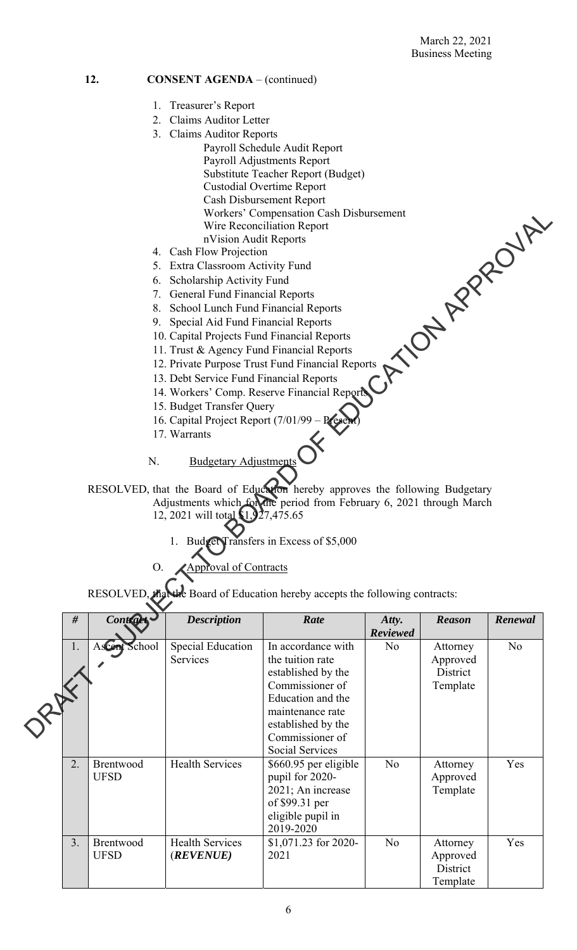- 1. Treasurer's Report
- 2. Claims Auditor Letter
- 3. Claims Auditor Reports
	- Payroll Schedule Audit Report Payroll Adjustments Report Substitute Teacher Report (Budget) Custodial Overtime Report Cash Disbursement Report Workers' Compensation Cash Disbursement Wire Reconciliation Report nVision Audit Reports PRESS CRAFT COMPANY
- 4. Cash Flow Projection
- 5. Extra Classroom Activity Fund
- 6. Scholarship Activity Fund
- 7. General Fund Financial Reports
- 8. School Lunch Fund Financial Reports
- 9. Special Aid Fund Financial Reports
- 10. Capital Projects Fund Financial Reports
- 11. Trust & Agency Fund Financial Reports
- 12. Private Purpose Trust Fund Financial Reports
- 13. Debt Service Fund Financial Reports
- 14. Workers' Comp. Reserve Financial Reports
- 15. Budget Transfer Query
- 16. Capital Project Report (7/01/99
- 17. Warrants

## N. Budgetary Adjustments

 RESOLVED, that the Board of Education hereby approves the following Budgetary Adjustments which for the period from February 6, 2021 through March 12, 2021 will total \$1,927,475.65

- ransfers in Excess of \$5,000
- Approval of Contracts

RESOLVED, that the Board of Education hereby accepts the following contracts:

| #<br>Contract                  | <b>Description</b>                           | Rate                                                                                                                                                              | Atty.<br><b>Reviewed</b> | <b>Reason</b>                                | Renewal        |
|--------------------------------|----------------------------------------------|-------------------------------------------------------------------------------------------------------------------------------------------------------------------|--------------------------|----------------------------------------------|----------------|
| Ascent School<br>1.            | Special Education<br>Services                | In accordance with<br>the tuition rate<br>established by the<br>Commissioner of<br>Education and the<br>maintenance rate<br>established by the<br>Commissioner of | N <sub>o</sub>           | Attorney<br>Approved<br>District<br>Template | N <sub>o</sub> |
| 2.<br>Brentwood<br><b>UFSD</b> | <b>Health Services</b>                       | Social Services<br>\$660.95 per eligible<br>pupil for 2020-<br>2021; An increase<br>of \$99.31 per<br>eligible pupil in<br>2019-2020                              | No                       | Attorney<br>Approved<br>Template             | Yes            |
| 3.<br>Brentwood<br><b>UFSD</b> | <b>Health Services</b><br>( <i>REVENUE</i> ) | $$1,071.23$ for 2020-<br>2021                                                                                                                                     | N <sub>o</sub>           | Attorney<br>Approved<br>District<br>Template | Yes            |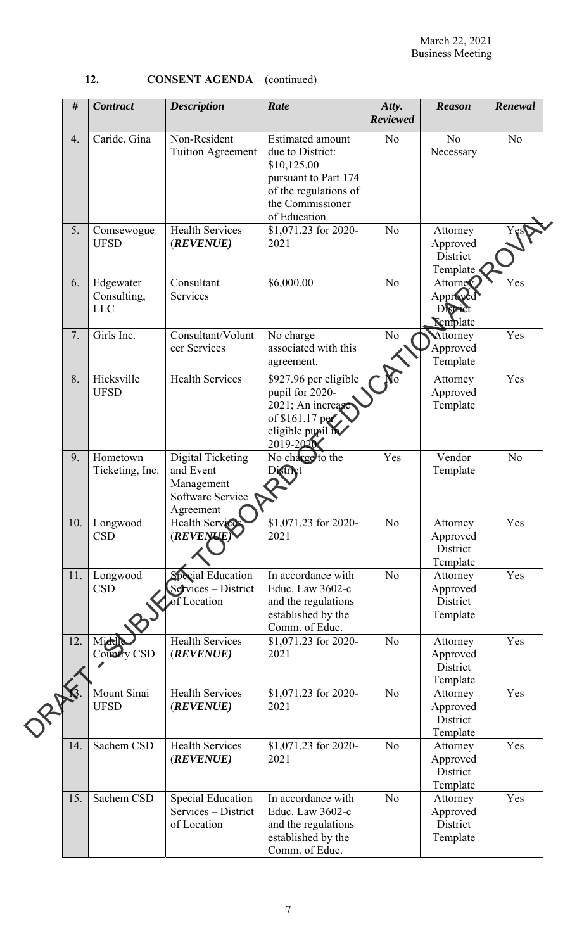| #   | <b>Contract</b>                        | <b>Description</b>                                                            | Rate                                                                                                                                            | Atty.<br><b>Reviewed</b> | <b>Reason</b>                                       | Renewal        |
|-----|----------------------------------------|-------------------------------------------------------------------------------|-------------------------------------------------------------------------------------------------------------------------------------------------|--------------------------|-----------------------------------------------------|----------------|
| 4.  | Caride, Gina                           | Non-Resident<br><b>Tuition Agreement</b>                                      | <b>Estimated amount</b><br>due to District:<br>\$10,125.00<br>pursuant to Part 174<br>of the regulations of<br>the Commissioner<br>of Education | N <sub>o</sub>           | N <sub>o</sub><br>Necessary                         | N <sub>o</sub> |
| 5.  | Comsewogue<br><b>UFSD</b>              | <b>Health Services</b><br>(REVENUE)                                           | \$1,071.23 for 2020-<br>2021                                                                                                                    | N <sub>o</sub>           | Attorney<br>Approved<br>District<br>Template        |                |
| 6.  | Edgewater<br>Consulting,<br><b>LLC</b> | Consultant<br>Services                                                        | \$6,000.00                                                                                                                                      | No                       | Attorney<br>Approved<br>District<br><b>Template</b> | Yes            |
| 7.  | Girls Inc.                             | Consultant/Volunt<br>eer Services                                             | No charge<br>associated with this<br>agreement.                                                                                                 | N <sub>o</sub>           | Attorney<br>Approved<br>Template                    | Yes            |
| 8.  | Hicksville<br><b>UFSD</b>              | <b>Health Services</b>                                                        | \$927.96 per eligible<br>pupil for 2020-<br>2021; An increase<br>of \$161.17 per<br>eligible pupil in<br>2019-2020                              | No                       | Attorney<br>Approved<br>Template                    | Yes            |
| 9.  | Hometown<br>Ticketing, Inc.            | Digital Ticketing<br>and Event<br>Management<br>Software Service<br>Agreement | No charge to the<br>District                                                                                                                    | Yes                      | Vendor<br>Template                                  | N <sub>o</sub> |
| 10. | Longwood<br><b>CSD</b>                 | Health Services<br>(REVENUE)                                                  | \$1,071.23 for 2020-<br>2021                                                                                                                    | No                       | Attorney<br>Approved<br>District<br>Template        | Yes            |
| 11. | Longwood<br><b>CSD</b>                 | <b>Special Education</b><br>Services - District<br>f Location                 | In accordance with<br>Educ. Law 3602-c<br>and the regulations<br>established by the<br>Comm. of Educ.                                           | N <sub>o</sub>           | Attorney<br>Approved<br>District<br>Template        | Yes            |
| 12. | Middl<br><b>Country CSD</b>            | <b>Health Services</b><br>(REVENUE)                                           | \$1,071.23 for 2020-<br>2021                                                                                                                    | No                       | Attorney<br>Approved<br>District<br>Template        | Yes            |
|     | Mount Sinai<br><b>UFSD</b>             | <b>Health Services</b><br>(REVENUE)                                           | \$1,071.23 for 2020-<br>2021                                                                                                                    | N <sub>o</sub>           | Attorney<br>Approved<br>District<br>Template        | Yes            |
| 14. | Sachem CSD                             | <b>Health Services</b><br>(REVENUE)                                           | \$1,071.23 for 2020-<br>2021                                                                                                                    | N <sub>o</sub>           | Attorney<br>Approved<br>District<br>Template        | Yes            |
| 15. | Sachem CSD                             | <b>Special Education</b><br>Services – District<br>of Location                | In accordance with<br>Educ. Law 3602-c<br>and the regulations<br>established by the<br>Comm. of Educ.                                           | N <sub>o</sub>           | Attorney<br>Approved<br>District<br>Template        | Yes            |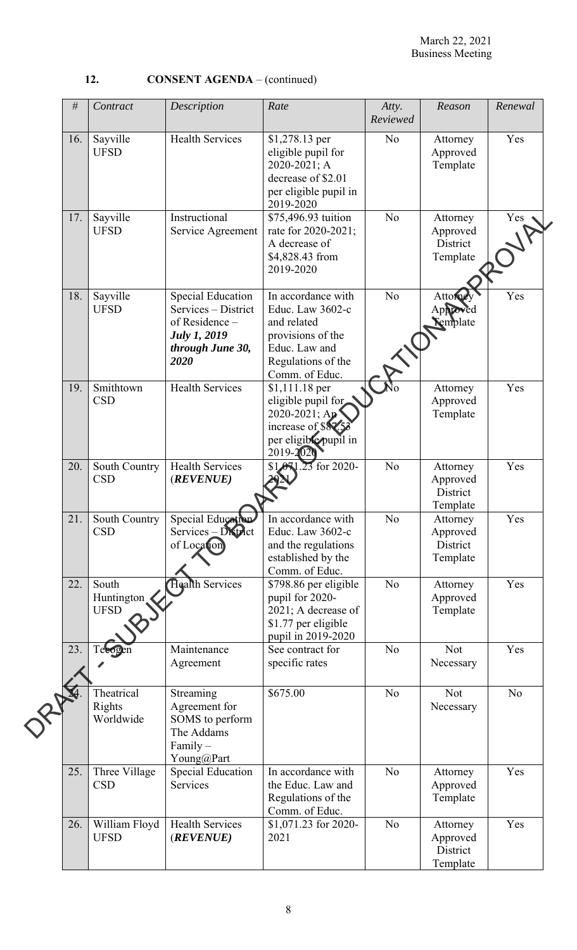| #   | Contract                           | Description                                                                                                          | Rate                                                                                                                                | Atty.<br>Reviewed | Reason                                       | Renewal        |
|-----|------------------------------------|----------------------------------------------------------------------------------------------------------------------|-------------------------------------------------------------------------------------------------------------------------------------|-------------------|----------------------------------------------|----------------|
| 16. | Sayville<br><b>UFSD</b>            | <b>Health Services</b>                                                                                               | \$1,278.13 per<br>eligible pupil for<br>2020-2021; A<br>decrease of \$2.01<br>per eligible pupil in<br>2019-2020                    | N <sub>o</sub>    | Attorney<br>Approved<br>Template             | Yes            |
| 17. | Sayville<br><b>UFSD</b>            | Instructional<br>Service Agreement                                                                                   | \$75,496.93 tuition<br>rate for 2020-2021;<br>A decrease of<br>\$4,828.43 from<br>2019-2020                                         | N <sub>o</sub>    | Attorney<br>Approved<br>District<br>Template | Yes            |
| 18. | Sayville<br><b>UFSD</b>            | <b>Special Education</b><br>Services - District<br>of Residence -<br><b>July 1, 2019</b><br>through June 30,<br>2020 | In accordance with<br>Educ. Law 3602-c<br>and related<br>provisions of the<br>Educ. Law and<br>Regulations of the<br>Comm. of Educ. | N <sub>o</sub>    | Attorney<br>Approved<br>emplate              | Yes            |
| 19. | Smithtown<br><b>CSD</b>            | <b>Health Services</b>                                                                                               | \$1,111.18 per<br>eligible pupil for<br>2020-2021; Ap<br>increase of \$87.53<br>per eligible pupil in<br>2019-2020                  |                   | Attorney<br>Approved<br>Template             | Yes            |
| 20. | South Country<br><b>CSD</b>        | <b>Health Services</b><br>(REVENUE)                                                                                  | 3 for 2020-<br>\$1.07                                                                                                               | N <sub>o</sub>    | Attorney<br>Approved<br>District<br>Template | Yes            |
| 21. | <b>CSD</b>                         | South Country   Special Education<br>Services - District<br>of Location                                              | In accordance with<br>Educ. Law 3602-c<br>and the regulations<br>established by the<br>Comm. of Educ.                               | No                | Attorney<br>Approved<br>District<br>Template | Yes            |
| 22. | South<br>Huntington<br><b>UFSD</b> | <b>Health Services</b>                                                                                               | \$798.86 per eligible<br>pupil for 2020-<br>2021; A decrease of<br>\$1.77 per eligible<br>pupil in 2019-2020                        | No                | Attorney<br>Approved<br>Template             | Yes            |
| 23. | Telogen                            | Maintenance<br>Agreement                                                                                             | See contract for<br>specific rates                                                                                                  | N <sub>o</sub>    | Not<br>Necessary                             | Yes            |
|     | Theatrical<br>Rights<br>Worldwide  | Streaming<br>Agreement for<br>SOMS to perform<br>The Addams<br>Family-<br>Young@Part                                 | \$675.00                                                                                                                            | No                | Not<br>Necessary                             | N <sub>o</sub> |
| 25. | Three Village<br><b>CSD</b>        | <b>Special Education</b><br>Services                                                                                 | In accordance with<br>the Educ. Law and<br>Regulations of the<br>Comm. of Educ.                                                     | N <sub>o</sub>    | Attorney<br>Approved<br>Template             | Yes            |
| 26. | William Floyd<br><b>UFSD</b>       | <b>Health Services</b><br>(REVENUE)                                                                                  | \$1,071.23 for 2020-<br>2021                                                                                                        | N <sub>o</sub>    | Attorney<br>Approved<br>District<br>Template | Yes            |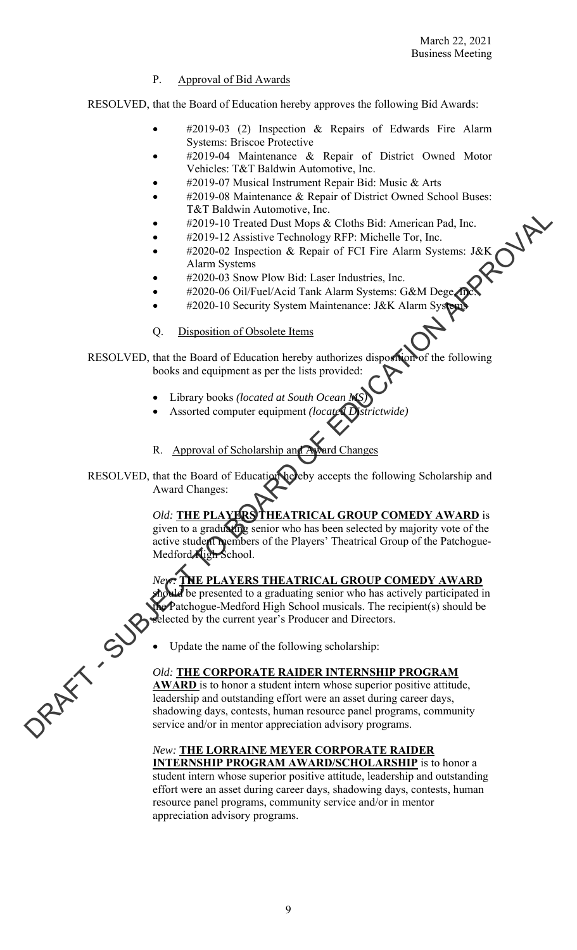## P. Approval of Bid Awards

RESOLVED, that the Board of Education hereby approves the following Bid Awards:

- #2019-03 (2) Inspection & Repairs of Edwards Fire Alarm Systems: Briscoe Protective
- #2019-04 Maintenance & Repair of District Owned Motor Vehicles: T&T Baldwin Automotive, Inc.
- #2019-07 Musical Instrument Repair Bid: Music & Arts
- #2019-08 Maintenance & Repair of District Owned School Buses: T&T Baldwin Automotive, Inc.
- #2019-10 Treated Dust Mops & Cloths Bid: American Pad, Inc.
- #2019-12 Assistive Technology RFP: Michelle Tor, Inc.
- #2020-02 Inspection & Repair of FCI Fire Alarm Systems: J&K Alarm Systems
- #2020-03 Snow Plow Bid: Laser Industries, Inc.
- #2020-06 Oil/Fuel/Acid Tank Alarm Systems: G&M Dege ne
- **\*** #2020-10 Security System Maintenance: J&K Alarm System
- Q. Disposition of Obsolete Items

RESOLVED, that the Board of Education hereby authorizes disposition of the following books and equipment as per the lists provided:

- Library books *(located at South Ocean MS)*
- Assorted computer equipment *(located Districtwide)*
- R. Approval of Scholarship and Award Changes
- RESOLVED, that the Board of Education hereby accepts the following Scholarship and Award Changes:

*Old:* **THE PLAYERS THEATRICAL GROUP COMEDY AWARD** is

given to a graduating senior who has been selected by majority vote of the active student members of the Players' Theatrical Group of the Patchogue-Medford **High School**.

## *New:* **THE PLAYERS THEATRICAL GROUP COMEDY AWARD**

should be presented to a graduating senior who has actively participated in  $\text{A}$  Patchogue-Medford High School musicals. The recipient(s) should be selected by the current year's Producer and Directors.

# Update the name of the following scholarship:

## *Old:* **THE CORPORATE RAIDER INTERNSHIP PROGRAM**

**AWARD** is to honor a student intern whose superior positive attitude, leadership and outstanding effort were an asset during career days, shadowing days, contests, human resource panel programs, community service and/or in mentor appreciation advisory programs. The Hamiltonian Scheme and the Court of the Courts.<br>
The SUB-12 Consider To Ferminal Scheme To Ferminal Scheme To Ferminal Scheme To Ferminal Scheme To Ferminal Scheme To Board of The Marina Scheme APPROVAL Tank A harm Sy

## *New:* **THE LORRAINE MEYER CORPORATE RAIDER**

**INTERNSHIP PROGRAM AWARD/SCHOLARSHIP** is to honor a student intern whose superior positive attitude, leadership and outstanding effort were an asset during career days, shadowing days, contests, human resource panel programs, community service and/or in mentor appreciation advisory programs.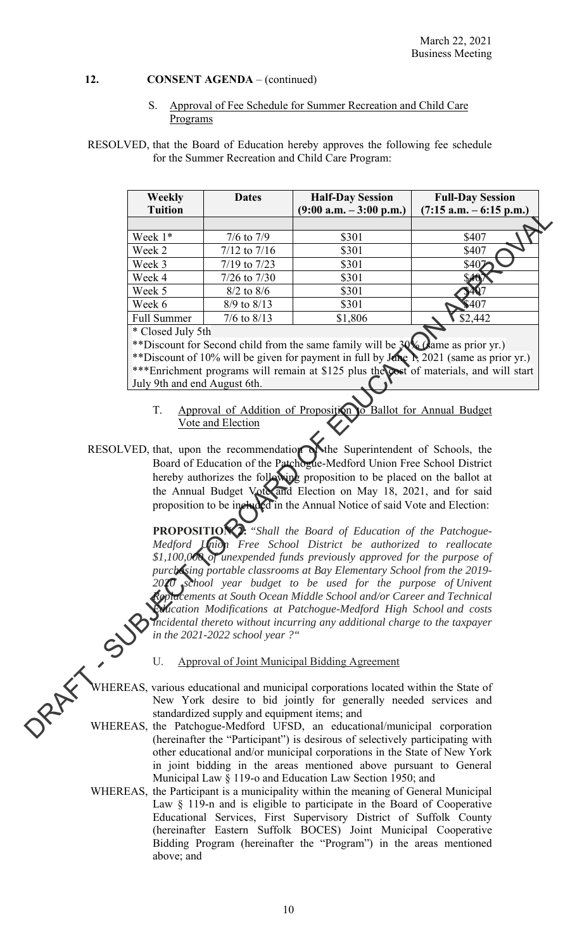S. Approval of Fee Schedule for Summer Recreation and Child Care Programs

## RESOLVED, that the Board of Education hereby approves the following fee schedule for the Summer Recreation and Child Care Program:

|      | <b>Weekly</b><br><b>Tuition</b>                                       | <b>Dates</b>                                 | <b>Half-Day Session</b><br>$(9:00 a.m. - 3:00 p.m.)$                                                                                                             | <b>Full-Day Session</b><br>$(7:15$ a.m. $-6:15$ p.m.)                                   |  |  |  |  |
|------|-----------------------------------------------------------------------|----------------------------------------------|------------------------------------------------------------------------------------------------------------------------------------------------------------------|-----------------------------------------------------------------------------------------|--|--|--|--|
|      |                                                                       |                                              |                                                                                                                                                                  |                                                                                         |  |  |  |  |
|      | Week 1*                                                               | $7/6$ to $7/9$                               | \$301                                                                                                                                                            | \$407                                                                                   |  |  |  |  |
|      | Week 2                                                                | $7/12$ to $7/16$                             | \$301                                                                                                                                                            | \$407                                                                                   |  |  |  |  |
|      | Week 3                                                                | $7/19$ to $7/23$                             | \$301                                                                                                                                                            | \$407                                                                                   |  |  |  |  |
|      | Week 4                                                                | $7/26$ to $7/30$                             | \$301                                                                                                                                                            | S40                                                                                     |  |  |  |  |
|      | Week 5                                                                | $8/2$ to $8/6$                               | \$301                                                                                                                                                            |                                                                                         |  |  |  |  |
|      | Week 6                                                                | 8/9 to 8/13                                  | \$301                                                                                                                                                            | \$407                                                                                   |  |  |  |  |
|      | <b>Full Summer</b>                                                    | $7/6$ to $8/13$                              | \$1,806                                                                                                                                                          | \$2,442                                                                                 |  |  |  |  |
|      | * Closed July 5th                                                     |                                              |                                                                                                                                                                  |                                                                                         |  |  |  |  |
|      |                                                                       |                                              | **Discount for Second child from the same family will be 30% Came as prior yr.)                                                                                  |                                                                                         |  |  |  |  |
|      |                                                                       |                                              |                                                                                                                                                                  | **Discount of 10% will be given for payment in full by June 1, 2021 (same as prior yr.) |  |  |  |  |
|      |                                                                       |                                              |                                                                                                                                                                  | ***Enrichment programs will remain at \$125 plus the cost of materials, and will start  |  |  |  |  |
|      | July 9th and end August 6th.                                          |                                              |                                                                                                                                                                  |                                                                                         |  |  |  |  |
|      | T.                                                                    | Vote and Election                            | Approval of Addition of Proposition to Ballot for Annual Budget                                                                                                  |                                                                                         |  |  |  |  |
|      |                                                                       |                                              | RESOLVED, that, upon the recommendation while Superintendent of Schools, the                                                                                     |                                                                                         |  |  |  |  |
|      |                                                                       |                                              | Board of Education of the Patchogue-Medford Union Free School District                                                                                           |                                                                                         |  |  |  |  |
|      |                                                                       |                                              | hereby authorizes the following proposition to be placed on the ballot at                                                                                        |                                                                                         |  |  |  |  |
|      |                                                                       |                                              | the Annual Budget Vote and Election on May 18, 2021, and for said                                                                                                |                                                                                         |  |  |  |  |
|      |                                                                       |                                              | proposition to be included in the Annual Notice of said Vote and Election:                                                                                       |                                                                                         |  |  |  |  |
|      |                                                                       |                                              | <b>PROPOSITION 2:</b> "Shall the Board of Education of the Patchogue-                                                                                            |                                                                                         |  |  |  |  |
|      |                                                                       |                                              | Medford Union Free School District be authorized to reallocate                                                                                                   |                                                                                         |  |  |  |  |
|      |                                                                       |                                              | \$1,100,000 of unexpended funds previously approved for the purpose of                                                                                           |                                                                                         |  |  |  |  |
|      |                                                                       |                                              | purchasing portable classrooms at Bay Elementary School from the 2019-                                                                                           |                                                                                         |  |  |  |  |
|      | $2020$ school year budget to be used for the purpose of Univent       |                                              |                                                                                                                                                                  |                                                                                         |  |  |  |  |
|      | Replacements at South Ocean Middle School and/or Career and Technical |                                              |                                                                                                                                                                  |                                                                                         |  |  |  |  |
|      | Mication Modifications at Patchogue-Medford High School and costs     |                                              |                                                                                                                                                                  |                                                                                         |  |  |  |  |
|      |                                                                       |                                              | Incidental thereto without incurring any additional charge to the taxpayer                                                                                       |                                                                                         |  |  |  |  |
|      |                                                                       | in the 2021-2022 school year?"               |                                                                                                                                                                  |                                                                                         |  |  |  |  |
|      | U.                                                                    |                                              | <b>Approval of Joint Municipal Bidding Agreement</b>                                                                                                             |                                                                                         |  |  |  |  |
| 2 AX |                                                                       |                                              | WHEREAS, various educational and municipal corporations located within the State of                                                                              |                                                                                         |  |  |  |  |
|      |                                                                       |                                              | New York desire to bid jointly for generally needed services and                                                                                                 |                                                                                         |  |  |  |  |
|      |                                                                       | standardized supply and equipment items; and |                                                                                                                                                                  |                                                                                         |  |  |  |  |
|      |                                                                       |                                              | WHEREAS, the Patchogue-Medford UFSD, an educational/municipal corporation<br>$(homning from the "Dorti dimension"') is decinov of coloativity by partitioning x$ |                                                                                         |  |  |  |  |

WHEREAS, the Patchogue-Medford UFSD, an educational/municipal corporation (hereinafter the "Participant") is desirous of selectively participating with other educational and/or municipal corporations in the State of New York in joint bidding in the areas mentioned above pursuant to General Municipal Law § 119-o and Education Law Section 1950; and

WHEREAS, the Participant is a municipality within the meaning of General Municipal Law § 119-n and is eligible to participate in the Board of Cooperative Educational Services, First Supervisory District of Suffolk County (hereinafter Eastern Suffolk BOCES) Joint Municipal Cooperative Bidding Program (hereinafter the "Program") in the areas mentioned above; and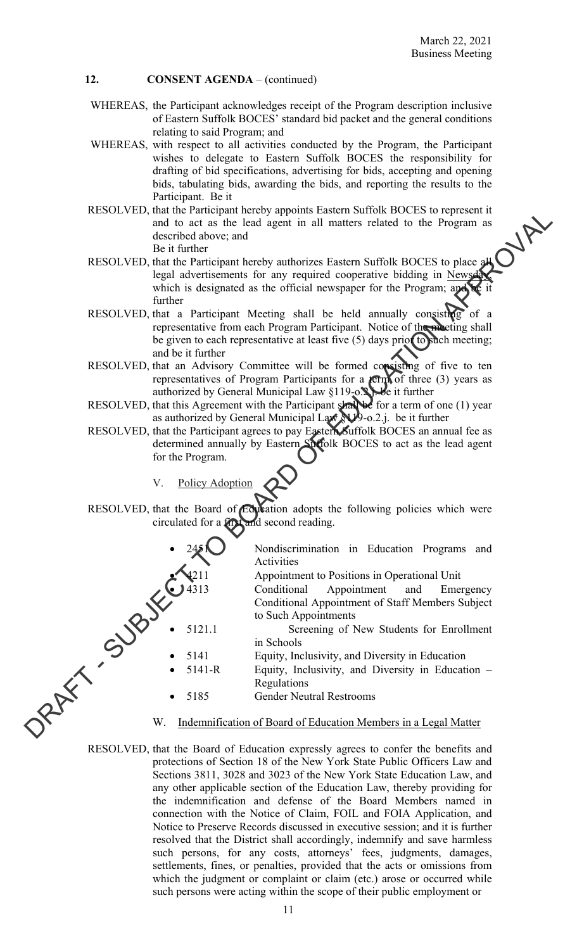- WHEREAS, the Participant acknowledges receipt of the Program description inclusive of Eastern Suffolk BOCES' standard bid packet and the general conditions relating to said Program; and
- WHEREAS, with respect to all activities conducted by the Program, the Participant wishes to delegate to Eastern Suffolk BOCES the responsibility for drafting of bid specifications, advertising for bids, accepting and opening bids, tabulating bids, awarding the bids, and reporting the results to the Participant. Be it
- RESOLVED, that the Participant hereby appoints Eastern Suffolk BOCES to represent it and to act as the lead agent in all matters related to the Program as described above; and Be it further
- RESOLVED, that the Participant hereby authorizes Eastern Suffolk BOCES to place all legal advertisements for any required cooperative bidding in Newsday which is designated as the official newspaper for the Program; and be it further
- RESOLVED, that a Participant Meeting shall be held annually consisting of a representative from each Program Participant. Notice of the meeting shall be given to each representative at least five (5) days prior to such meeting; and be it further
- RESOLVED, that an Advisory Committee will be formed consisting of five to ten representatives of Program Participants for a  $\text{term}$  of three (3) years as authorized by General Municipal Law §119-o.<sup>2</sup>. be it further
- RESOLVED, that this Agreement with the Participant shall be for a term of one (1) year as authorized by General Municipal Law  $N/9$ -o.2.j. be it further
- RESOLVED, that the Participant agrees to pay Eastern Suffolk BOCES an annual fee as determined annually by Eastern Suffolk BOCES to act as the lead agent for the Program.
	- V. Policy Adoption

RESOLVED, that the Board of Education adopts the following policies which were circulated for a first and second reading.



Activities

Appointment to Positions in Operational Unit

Conditional Appointment and Emergency Conditional Appointment of Staff Members Subject to Such Appointments

 5121.1 Screening of New Students for Enrollment in Schools

Equity, Inclusivity, and Diversity in Education

 5141-R Equity, Inclusivity, and Diversity in Education – Regulations

Gender Neutral Restrooms

Indemnification of Board of Education Members in a Legal Matter

RESOLVED, that the Board of Education expressly agrees to confer the benefits and protections of Section 18 of the New York State Public Officers Law and Sections 3811, 3028 and 3023 of the New York State Education Law, and any other applicable section of the Education Law, thereby providing for the indemnification and defense of the Board Members named in connection with the Notice of Claim, FOIL and FOIA Application, and Notice to Preserve Records discussed in executive session; and it is further resolved that the District shall accordingly, indemnify and save harmless such persons, for any costs, attorneys' fees, judgments, damages, settlements, fines, or penalties, provided that the acts or omissions from which the judgment or complaint or claim (etc.) arose or occurred while such persons were acting within the scope of their public employment or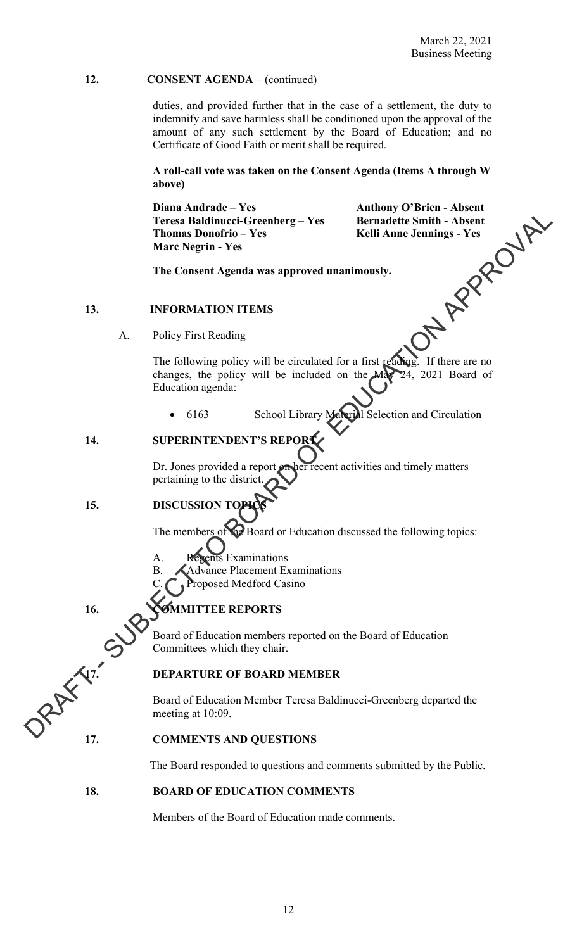duties, and provided further that in the case of a settlement, the duty to indemnify and save harmless shall be conditioned upon the approval of the amount of any such settlement by the Board of Education; and no Certificate of Good Faith or merit shall be required.

**A roll-call vote was taken on the Consent Agenda (Items A through W above)** 

Diana Andrade – Yes<br>
Teresa Baldinucci-Greenberg – Yes<br>
Thomas Donofrio – Yes<br>
Marc Negrin - Yes<br>
Marc Negrin - Yes<br>
The Consent Agenda was approved unanimously.<br>
INFORMATION ITEMS<br>
Policy First Performance of Policy First **Teresa Baldinucci-Greenberg – Yes Bernadette Smith - Absent**  Thomas Donofrio – Yes **Kelli Anne Jennings - Yes Marc Negrin - Yes** 

 **The Consent Agenda was approved unanimously.** 

### **13. INFORMATION ITEMS**

A. Policy First Reading

The following policy will be circulated for a first reading. If there are no changes, the policy will be included on the May 24, 2021 Board of Education agenda: Transportation of the district Connection of the Board of Education<br>
16.<br>
The connect Append vast approved unanimously.<br>
The Connect Agenda vast approved unanimously.<br>
The Connect Agenda vast approved unanimously.<br>
The So

• 6163 School Library Material Selection and Circulation

## **14. SUPERINTENDENT'S REPORT**

Dr. Jones provided a report on her recent activities and timely matters pertaining to the district.

## 15. **DISCUSSION**

The members of the Board or Education discussed the following topics:

- A. Regents Examinations
- B. Advance Placement Examinations
	- **Troposed Medford Casino**

## 16. **COMMITTEE REPORTS**

Board of Education members reported on the Board of Education Committees which they chair.

**17. DEPARTURE OF BOARD MEMBER**<br>Board of Education **MEMBER**<br>meeting Board of Education Member Teresa Baldinucci-Greenberg departed the meeting at 10:09.

### **17. COMMENTS AND QUESTIONS**

The Board responded to questions and comments submitted by the Public.

## **18. BOARD OF EDUCATION COMMENTS**

Members of the Board of Education made comments.